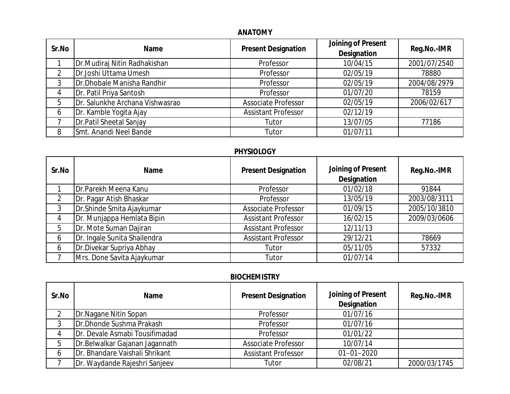### **ANATOMY**

| Sr.No | Name                            | <b>Present Designation</b> | Joining of Present<br>Designation | Reg.No.-IMR  |
|-------|---------------------------------|----------------------------|-----------------------------------|--------------|
|       | Dr. Mudiraj Nitin Radhakishan   | Professor                  | 10/04/15                          | 2001/07/2540 |
|       | Dr.Joshi Uttama Umesh           | Professor                  | 02/05/19                          | 78880        |
|       | Dr.Dhobale Manisha Randhir      | Professor                  | 02/05/19                          | 2004/08/2979 |
| 4     | Dr. Patil Priya Santosh         | Professor                  | 01/07/20                          | 78159        |
| 5     | Dr. Salunkhe Archana Vishwasrao | <b>Associate Professor</b> | 02/05/19                          | 2006/02/617  |
| 6     | Dr. Kamble Yogita Ajay          | <b>Assistant Professor</b> | 02/12/19                          |              |
|       | Dr. Patil Sheetal Sanjay        | Tutor                      | 13/07/05                          | 77186        |
| 8     | Smt. Anandi Neel Bande          | Tutor                      | 01/07/11                          |              |

## **PHYSIOLOGY**

| Sr.No | Name                         | <b>Present Designation</b> | Joining of Present<br>Designation | Reg.No.-IMR  |
|-------|------------------------------|----------------------------|-----------------------------------|--------------|
|       | Dr.Parekh Meena Kanu         | Professor                  | 01/02/18                          | 91844        |
|       | Dr. Pagar Atish Bhaskar      | Professor                  | 13/05/19                          | 2003/08/3111 |
|       | Dr. Shinde Smita Ajaykumar   | <b>Associate Professor</b> | 01/09/15                          | 2005/10/3810 |
| 4     | Dr. Munjappa Hemlata Bipin   | <b>Assistant Professor</b> | 16/02/15                          | 2009/03/0606 |
| 5     | Dr. Mote Suman Dajiran       | <b>Assistant Professor</b> | 12/11/13                          |              |
| 6     | Dr. Ingale Sunita Shailendra | <b>Assistant Professor</b> | 29/12/21                          | 78669        |
| 6     | Dr.Divekar Supriya Abhay     | Tutor                      | 05/11/05                          | 57332        |
|       | Mrs. Done Savita Ajaykumar   | Tutor                      | 01/07/14                          |              |

## **BIOCHEMISTRY**

| Sr.No | Name                            | <b>Present Designation</b> | Joining of Present<br>Designation | Reg.No.-IMR  |
|-------|---------------------------------|----------------------------|-----------------------------------|--------------|
|       | Dr.Nagane Nitin Sopan           | Professor                  | 01/07/16                          |              |
| 3     | Dr.Dhonde Sushma Prakash        | Professor                  | 01/07/16                          |              |
|       | Dr. Devale Asmabi Tousifimadad  | Professor                  | 01/01/22                          |              |
| 5     | Dr. Belwalkar Gajanan Jagannath | <b>Associate Professor</b> | 10/07/14                          |              |
| 6     | Dr. Bhandare Vaishali Shrikant  | <b>Assistant Professor</b> | $01 - 01 - 2020$                  |              |
|       | Dr. Waydande Rajeshri Sanjeev   | Tutor                      | 02/08/21                          | 2000/03/1745 |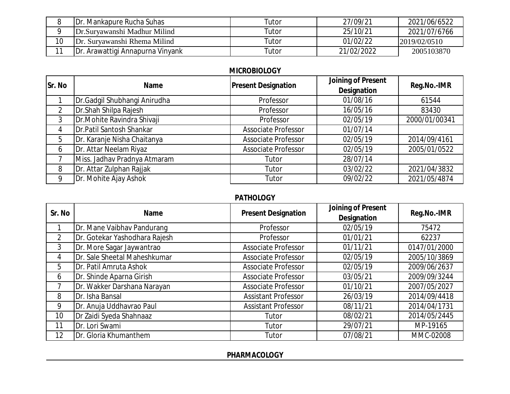|    | <b>IDr. Mankapure Rucha Suhas</b>        | Tutor | 27/09/21   | 2021/06/6522 |
|----|------------------------------------------|-------|------------|--------------|
|    | Dr.Suryawanshi Madhur Milind             | Tutor | 25/10/21   | 2021/07/6766 |
| 10 | Dr. Suryawanshi Rhema Milind             | Tutor | 01/02/22   | 2019/02/0510 |
|    | <b>IDr. Arawattigi Annapurna Vinyank</b> | Tutor | 21/02/2022 | 2005103870   |

### **MICROBIOLOGY**

| Sr. No | Name                         | <b>Present Designation</b> | Joining of Present<br>Designation | Reg.No.-IMR   |
|--------|------------------------------|----------------------------|-----------------------------------|---------------|
|        | Dr.Gadgil Shubhangi Anirudha | Professor                  | 01/08/16                          | 61544         |
| 2      | Dr.Shah Shilpa Rajesh        | Professor                  | 16/05/16                          | 83430         |
| 3      | Dr. Mohite Ravindra Shivaji  | Professor                  | 02/05/19                          | 2000/01/00341 |
| 4      | Dr.Patil Santosh Shankar     | <b>Associate Professor</b> | 01/07/14                          |               |
| 5      | Dr. Karanje Nisha Chaitanya  | <b>Associate Professor</b> | 02/05/19                          | 2014/09/4161  |
| 6      | Dr. Attar Neelam Riyaz       | <b>Associate Professor</b> | 02/05/19                          | 2005/01/0522  |
|        | Miss. Jadhav Pradnya Atmaram | Tutor                      | 28/07/14                          |               |
| 8      | Dr. Attar Zulphan Rajjak     | Tutor                      | 03/02/22                          | 2021/04/3832  |
| Q      | Dr. Mohite Ajay Ashok        | Tutor                      | 09/02/22                          | 2021/05/4874  |

### **PATHOLOGY**

| Sr. No         | Name                          | <b>Present Designation</b> | Joining of Present | Reg.No.-IMR  |
|----------------|-------------------------------|----------------------------|--------------------|--------------|
|                |                               |                            | Designation        |              |
|                | Dr. Mane Vaibhav Pandurang    | Professor                  | 02/05/19           | 75472        |
| $\overline{2}$ | Dr. Gotekar Yashodhara Rajesh | Professor                  | 01/01/21           | 62237        |
| 3              | Dr. More Sagar Jaywantrao     | <b>Associate Professor</b> | 01/11/21           | 0147/01/2000 |
| 4              | Dr. Sale Sheetal Maheshkumar  | <b>Associate Professor</b> | 02/05/19           | 2005/10/3869 |
| 5              | Dr. Patil Amruta Ashok        | <b>Associate Professor</b> | 02/05/19           | 2009/06/2637 |
| 6              | Dr. Shinde Aparna Girish      | <b>Associate Professor</b> | 03/05/21           | 2009/09/3244 |
|                | Dr. Wakker Darshana Narayan   | <b>Associate Professor</b> | 01/10/21           | 2007/05/2027 |
| 8              | Dr. Isha Bansal               | <b>Assistant Professor</b> | 26/03/19           | 2014/09/4418 |
| 9              | Dr. Anuja Uddhavrao Paul      | <b>Assistant Professor</b> | 08/11/21           | 2014/04/1731 |
| 10             | Dr Zaidi Syeda Shahnaaz       | Tutor                      | 08/02/21           | 2014/05/2445 |
| 11             | Dr. Lori Swami                | Tutor                      | 29/07/21           | MP-19165     |
| 12             | Dr. Gloria Khumanthem         | Tutor                      | 07/08/21           | MMC-02008    |

**PHARMACOLOGY**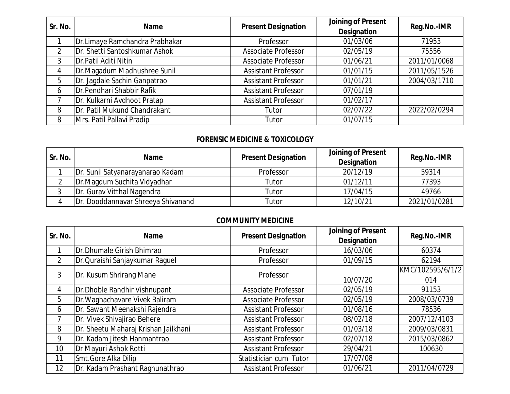| Sr. No. | Name                           | <b>Present Designation</b> | Joining of Present<br>Designation | Reg.No.-IMR  |
|---------|--------------------------------|----------------------------|-----------------------------------|--------------|
|         | Dr.Limaye Ramchandra Prabhakar | Professor                  | 01/03/06                          | 71953        |
|         | Dr. Shetti Santoshkumar Ashok  | <b>Associate Professor</b> | 02/05/19                          | 75556        |
| 3       | Dr. Patil Aditi Nitin          | <b>Associate Professor</b> | 01/06/21                          | 2011/01/0068 |
| 4       | Dr.Magadum Madhushree Sunil    | <b>Assistant Professor</b> | 01/01/15                          | 2011/05/1526 |
| 5       | Dr. Jagdale Sachin Ganpatrao   | <b>Assistant Professor</b> | 01/01/21                          | 2004/03/1710 |
| 6       | Dr. Pendhari Shabbir Rafik     | <b>Assistant Professor</b> | 07/01/19                          |              |
|         | Dr. Kulkarni Avdhoot Pratap    | <b>Assistant Professor</b> | 01/02/17                          |              |
| 8       | Dr. Patil Mukund Chandrakant   | Tutor                      | 02/07/22                          | 2022/02/0294 |
| 8       | Mrs. Patil Pallavi Pradip      | Tutor                      | 01/07/15                          |              |

### **FORENSIC MEDICINE & TOXICOLOGY**

| Sr. No. | <b>Name</b>                        | <b>Present Designation</b> | Joining of Present<br>Designation | Reg.No.-IMR  |
|---------|------------------------------------|----------------------------|-----------------------------------|--------------|
|         | Dr. Sunil Satyanarayanarao Kadam   | Professor                  | 20/12/19                          | 59314        |
|         | Dr.Magdum Suchita Vidyadhar        | Tutor                      | 01/12/11                          | 77393        |
|         | Dr. Gurav Vitthal Nagendra         | Tutor                      | 17/04/15                          | 49766        |
|         | Dr. Dooddannavar Shreeya Shivanand | Tutor                      | 12/10/21                          | 2021/01/0281 |

### **COMMUNITY MEDICINE**

| Sr. No.        | <b>Name</b>                          | <b>Present Designation</b> | Joining of Present | Reg.No.-IMR      |
|----------------|--------------------------------------|----------------------------|--------------------|------------------|
|                |                                      |                            | Designation        |                  |
|                | Dr.Dhumale Girish Bhimrao            | Professor                  | 16/03/06           | 60374            |
| $\overline{2}$ | Dr. Quraishi Sanjaykumar Raguel      | Professor                  | 01/09/15           | 62194            |
| 3              | Dr. Kusum Shrirang Mane              | Professor                  |                    | KMC/102595/6/1/2 |
|                |                                      |                            | 10/07/20           | 014              |
| 4              | Dr.Dhoble Randhir Vishnupant         | <b>Associate Professor</b> | 02/05/19           | 91153            |
| 5              | Dr. Waghachavare Vivek Baliram       | <b>Associate Professor</b> | 02/05/19           | 2008/03/0739     |
| 6              | Dr. Sawant Meenakshi Rajendra        | <b>Assistant Professor</b> | 01/08/16           | 78536            |
|                | Dr. Vivek Shivajirao Behere          | <b>Assistant Professor</b> | 08/02/18           | 2007/12/4103     |
| 8              | Dr. Sheetu Maharaj Krishan Jailkhani | <b>Assistant Professor</b> | 01/03/18           | 2009/03/0831     |
| 9              | Dr. Kadam Jitesh Hanmantrao          | <b>Assistant Professor</b> | 02/07/18           | 2015/03/0862     |
| 10             | Dr Mayuri Ashok Rotti                | <b>Assistant Professor</b> | 29/04/21           | 100630           |
| 11             | Smt.Gore Alka Dilip                  | Statistician cum Tutor     | 17/07/08           |                  |
| 12             | Dr. Kadam Prashant Raghunathrao      | <b>Assistant Professor</b> | 01/06/21           | 2011/04/0729     |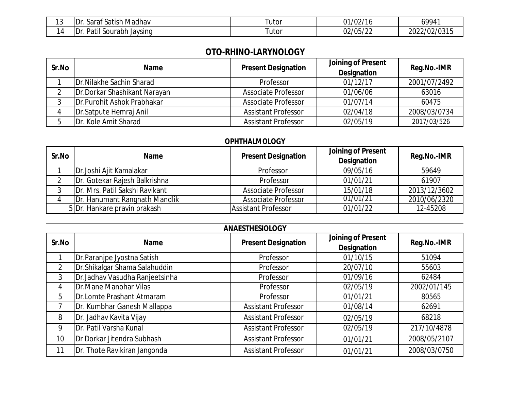| $\sim$<br>.<br>. | satish Madhav<br>$\sim$ $\sim$<br>$\overline{\phantom{a}}$<br>'Dr<br>Sarat | utor | $^{21/02/16}$ | 69941              |
|------------------|----------------------------------------------------------------------------|------|---------------|--------------------|
| . .<br>IД        | . Patil <sup>c</sup><br>Dr<br>Javsing<br>Sourabh<br>. .                    | utor | 02/05/22      | 2/02/0315<br>ົາດາ″ |

# **OTO-RHINO-LARYNOLOGY**

| Sr.No | Name                              | <b>Present Designation</b> | Joining of Present<br>Designation | Reg.No.-IMR  |
|-------|-----------------------------------|----------------------------|-----------------------------------|--------------|
|       | <b>IDr. Nilakhe Sachin Sharad</b> | Professor                  | 01/12/17                          | 2001/07/2492 |
|       | Dr.Dorkar Shashikant Narayan      | <b>Associate Professor</b> | 01/06/06                          | 63016        |
|       | Dr. Purohit Ashok Prabhakar       | <b>Associate Professor</b> | 01/07/14                          | 60475        |
|       | Dr. Satpute Hemraj Anil           | <b>Assistant Professor</b> | 02/04/18                          | 2008/03/0734 |
|       | Dr. Kole Amit Sharad              | <b>Assistant Professor</b> | 02/05/19                          | 2017/03/526  |

## **OPHTHALMOLOGY**

| Sr.No | Name                           | <b>Present Designation</b> | Joining of Present<br>Designation | Reg.No.-IMR  |
|-------|--------------------------------|----------------------------|-----------------------------------|--------------|
|       | Dr.Joshi Ajit Kamalakar        | Professor                  | 09/05/16                          | 59649        |
|       | Dr. Gotekar Rajesh Balkrishna  | Professor                  | 01/01/21                          | 61907        |
|       | Dr. Mrs. Patil Sakshi Ravikant | <b>Associate Professor</b> | 15/01/18                          | 2013/12/3602 |
|       | Dr. Hanumant Rangnath Mandlik  | <b>Associate Professor</b> | 01/01/21                          | 2010/06/2320 |
|       | 5 Dr. Hankare pravin prakash   | Assistant Professor        | 01/01/22                          | 12-45208     |

| Sr.No          | <b>Name</b>                    | <b>Present Designation</b> | Joining of Present<br>Designation | Reg.No.-IMR  |
|----------------|--------------------------------|----------------------------|-----------------------------------|--------------|
|                | Dr.Paranjpe Jyostna Satish     | Professor                  | 01/10/15                          | 51094        |
| $\overline{2}$ | Dr.Shikalgar Shama Salahuddin  | Professor                  | 20/07/10                          | 55603        |
| 3              | Dr.Jadhav Vasudha Ranjeetsinha | Professor                  | 01/09/16                          | 62484        |
| 4              | Dr.Mane Manohar Vilas          | Professor                  | 02/05/19                          | 2002/01/145  |
| 5              | Dr.Lomte Prashant Atmaram      | Professor                  | 01/01/21                          | 80565        |
|                | Dr. Kumbhar Ganesh Mallappa    | <b>Assistant Professor</b> | 01/08/14                          | 62691        |
| 8              | Dr. Jadhav Kavita Vijay        | <b>Assistant Professor</b> | 02/05/19                          | 68218        |
| 9              | Dr. Patil Varsha Kunal         | <b>Assistant Professor</b> | 02/05/19                          | 217/10/4878  |
| 10             | Dr Dorkar Jitendra Subhash     | <b>Assistant Professor</b> | 01/01/21                          | 2008/05/2107 |
| 11             | Dr. Thote Ravikiran Jangonda   | <b>Assistant Professor</b> | 01/01/21                          | 2008/03/0750 |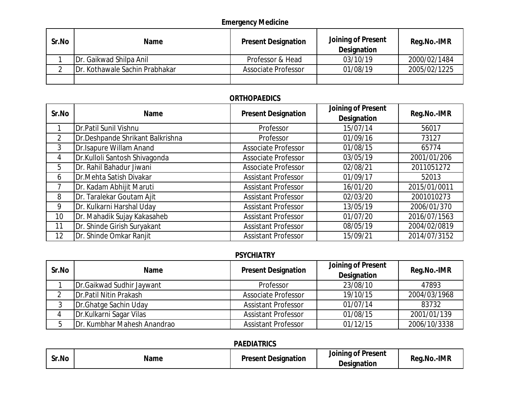# **Emergency Medicine**

| Sr.No | <b>Name</b>                     | <b>Present Designation</b> | Joining of Present<br>Designation | Reg.No.-IMR  |
|-------|---------------------------------|----------------------------|-----------------------------------|--------------|
|       | <b>IDr. Gaikwad Shilpa Anil</b> | Professor & Head           | 03/10/19                          | 2000/02/1484 |
|       | Dr. Kothawale Sachin Prabhakar  | <b>Associate Professor</b> | 01/08/19                          | 2005/02/1225 |
|       |                                 |                            |                                   |              |

# **ORTHOPAEDICS**

| Sr.No           | Name                             | <b>Present Designation</b> | Joining of Present | Reg.No.-IMR  |
|-----------------|----------------------------------|----------------------------|--------------------|--------------|
|                 |                                  |                            | Designation        |              |
|                 | Dr.Patil Sunil Vishnu            | Professor                  | 15/07/14           | 56017        |
| $\overline{2}$  | Dr.Deshpande Shrikant Balkrishna | Professor                  | 01/09/16           | 73127        |
| 3               | Dr.Isapure Willam Anand          | <b>Associate Professor</b> | 01/08/15           | 65774        |
| 4               | Dr.Kulloli Santosh Shivagonda    | <b>Associate Professor</b> | 03/05/19           | 2001/01/206  |
| 5               | Dr. Rahil Bahadur Jiwani         | <b>Associate Professor</b> | 02/08/21           | 2011051272   |
| 6               | Dr.Mehta Satish Divakar          | <b>Assistant Professor</b> | 01/09/17           | 52013        |
|                 | Dr. Kadam Abhijit Maruti         | <b>Assistant Professor</b> | 16/01/20           | 2015/01/0011 |
| 8               | Dr. Taralekar Goutam Ajit        | <b>Assistant Professor</b> | 02/03/20           | 2001010273   |
| 9               | Dr. Kulkarni Harshal Uday        | <b>Assistant Professor</b> | 13/05/19           | 2006/01/370  |
| 10 <sup>°</sup> | Dr. Mahadik Sujay Kakasaheb      | <b>Assistant Professor</b> | 01/07/20           | 2016/07/1563 |
| 11              | Dr. Shinde Girish Suryakant      | <b>Assistant Professor</b> | 08/05/19           | 2004/02/0819 |
| 12              | Dr. Shinde Omkar Ranjit          | <b>Assistant Professor</b> | 15/09/21           | 2014/07/3152 |

#### **PSYCHIATRY**

| Sr.No | Name                            | <b>Present Designation</b> | Joining of Present<br>Designation | Reg.No.-IMR  |
|-------|---------------------------------|----------------------------|-----------------------------------|--------------|
|       | Dr.Gaikwad Sudhir Jaywant       | Professor                  | 23/08/10                          | 47893        |
|       | <b>IDr. Patil Nitin Prakash</b> | <b>Associate Professor</b> | 19/10/15                          | 2004/03/1968 |
|       | Dr.Ghatge Sachin Uday           | <b>Assistant Professor</b> | 01/07/14                          | 83732        |
|       | Dr.Kulkarni Sagar Vilas         | <b>Assistant Professor</b> | 01/08/15                          | 2001/01/139  |
|       | Dr. Kumbhar Mahesh Anandrao     | <b>Assistant Professor</b> | 01/12/15                          | 2006/10/3338 |

### **PAEDIATRICS**

| Sr.No | Name | נµיק∨י<br>Designation<br>$\cdot$ . $\sim$ | . .<br><b>Present</b><br>Joinina<br>01<br>Designation | .-IMR<br>Rea<br>.NO |
|-------|------|-------------------------------------------|-------------------------------------------------------|---------------------|
|-------|------|-------------------------------------------|-------------------------------------------------------|---------------------|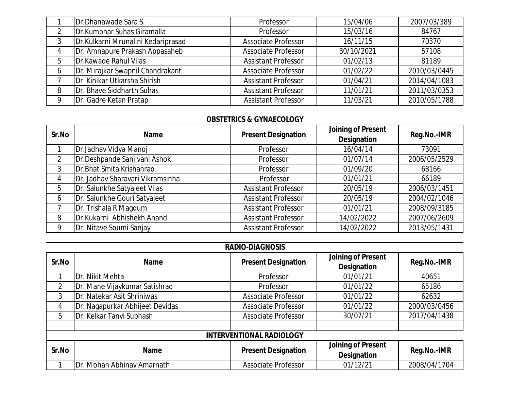| Dr.Dhanawade Sara S.               | Professor                  | 15/04/06   | 2007/03/389  |
|------------------------------------|----------------------------|------------|--------------|
| Dr.Kumbhar Suhas Giramalla         | Professor                  | 15/03/16   | 84767        |
| Dr.Kulkarni Mrunalini Kedariprasad | <b>Associate Professor</b> | 16/11/15   | 70370        |
| Dr. Amnapure Prakash Appasaheb     | <b>Associate Professor</b> | 30/10/2021 | 57108        |
| Dr.Kawade Rahul Vilas              | <b>Assistant Professor</b> | 01/02/13   | 81189        |
| Dr. Mirajkar Swapnil Chandrakant   | <b>Associate Professor</b> | 01/02/22   | 2010/03/0445 |
| Dr Kinikar Utkarsha Shirish        | <b>Assistant Professor</b> | 01/04/21   | 2014/04/1083 |
| <b>IDr. Bhave Siddharth Suhas</b>  | <b>Assistant Professor</b> | 11/01/21   | 2011/03/0353 |
| Dr. Gadre Ketan Pratap             | <b>Assistant Professor</b> | 11/03/21   | 2010/05/1788 |

#### **OBSTETRICS & GYNAECOLOGY**

| Sr.No | <b>Name</b>                      | <b>Present Designation</b> | Joining of Present<br>Designation | Reg.No.-IMR  |
|-------|----------------------------------|----------------------------|-----------------------------------|--------------|
|       | Dr.Jadhav Vidya Manoj            | Professor                  | 16/04/14                          | 73091        |
|       | Dr.Deshpande Sanjivani Ashok     | Professor                  | 01/07/14                          | 2006/05/2529 |
| 3     | Dr.Bhat Smita Krishanrao         | Professor                  | 01/09/20                          | 68166        |
| 4     | Dr. Jadhav Sharavari Vikramsinha | Professor                  | 01/01/21                          | 66189        |
| 5     | Dr. Salunkhe Satyajeet Vilas     | <b>Assistant Professor</b> | 20/05/19                          | 2006/03/1451 |
| 6     | Dr. Salunkhe Gouri Satyajeet     | <b>Assistant Professor</b> | 20/05/19                          | 2004/02/1046 |
|       | Dr. Trishala R Magdum            | <b>Assistant Professor</b> | 01/01/21                          | 2008/09/3185 |
| 8     | Dr.Kukarni Abhishekh Anand       | <b>Assistant Professor</b> | 14/02/2022                        | 2007/06/2609 |
| Q     | Dr. Nitave Soumi Sanjay          | <b>Assistant Professor</b> | 14/02/2022                        | 2013/05/1431 |

| Sr.No          | <b>Name</b>                     | <b>Present Designation</b>      | Joining of Present<br>Designation | Reg.No.-IMR  |
|----------------|---------------------------------|---------------------------------|-----------------------------------|--------------|
|                | Dr. Nikit Mehta                 | Professor                       | 01/01/21                          | 40651        |
| $\overline{2}$ | Dr. Mane Vijaykumar Satishrao   | Professor                       | 01/01/22                          | 65186        |
| 3              | Dr. Natekar Asit Shriniwas      | <b>Associate Professor</b>      | 01/01/22                          | 62632        |
| 4              | Dr. Nagapurkar Abhijeet Devidas | <b>Associate Professor</b>      | 01/01/22                          | 2000/03/0456 |
| 5              | Dr. Kelkar Tanvi Subhash        | <b>Associate Professor</b>      | 30/07/21                          | 2017/04/1438 |
|                |                                 |                                 |                                   |              |
|                |                                 | <b>INTERVENTIONAL RADIOLOGY</b> |                                   |              |
| Sr.No          | <b>Name</b>                     | <b>Present Designation</b>      | Joining of Present<br>Designation | Reg.No.-IMR  |
|                | Dr. Mohan Abhinav Amarnath      | <b>Associate Professor</b>      | 01/12/21                          | 2008/04/1704 |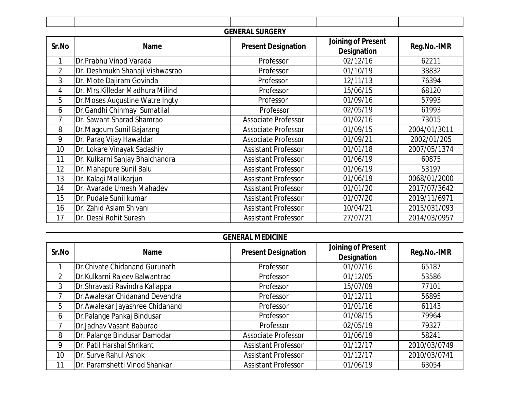| <b>GENERAL SURGERY</b> |                                  |                            |                                   |              |
|------------------------|----------------------------------|----------------------------|-----------------------------------|--------------|
| Sr.No                  | Name                             | <b>Present Designation</b> | Joining of Present<br>Designation | Reg.No.-IMR  |
| 1                      | Dr.Prabhu Vinod Varada           | Professor                  | 02/12/16                          | 62211        |
| $\overline{2}$         | Dr. Deshmukh Shahaji Vishwasrao  | Professor                  | 01/10/19                          | 38832        |
| 3                      | Dr. Mote Dajiram Govinda         | Professor                  | 12/11/13                          | 76394        |
| 4                      | Dr. Mrs. Killedar Madhura Milind | Professor                  | 15/06/15                          | 68120        |
| 5                      | Dr. Moses Augustine Watre Ingty  | Professor                  | 01/09/16                          | 57993        |
| 6                      | Dr.Gandhi Chinmay Sumatilal      | Professor                  | 02/05/19                          | 61993        |
| 7                      | Dr. Sawant Sharad Shamrao        | <b>Associate Professor</b> | 01/02/16                          | 73015        |
| 8                      | Dr.Magdum Sunil Bajarang         | <b>Associate Professor</b> | 01/09/15                          | 2004/01/3011 |
| 9                      | Dr. Parag Vijay Hawaldar         | <b>Associate Professor</b> | 01/09/21                          | 2002/01/205  |
| 10                     | Dr. Lokare Vinayak Sadashiv      | <b>Assistant Professor</b> | 01/01/18                          | 2007/05/1374 |
| 11                     | Dr. Kulkarni Sanjay Bhalchandra  | <b>Assistant Professor</b> | 01/06/19                          | 60875        |
| 12                     | Dr. Mahapure Sunil Balu          | <b>Assistant Professor</b> | 01/06/19                          | 53197        |
| 13                     | Dr. Kalagi Mallikarjun           | <b>Assistant Professor</b> | 01/06/19                          | 0068/01/2000 |
| 14                     | Dr. Avarade Umesh Mahadev        | <b>Assistant Professor</b> | 01/01/20                          | 2017/07/3642 |
| 15                     | Dr. Pudale Sunil kumar           | <b>Assistant Professor</b> | 01/07/20                          | 2019/11/6971 |
| 16                     | Dr. Zahid Aslam Shivani          | <b>Assistant Professor</b> | 10/04/21                          | 2015/031/093 |
| 17                     | Dr. Desai Rohit Suresh           | <b>Assistant Professor</b> | 27/07/21                          | 2014/03/0957 |

| Sr.No          | <b>Name</b>                     | <b>Present Designation</b> | Joining of Present<br>Designation | Reg.No.-IMR  |
|----------------|---------------------------------|----------------------------|-----------------------------------|--------------|
|                | Dr.Chivate Chidanand Gurunath   | Professor                  | 01/07/16                          | 65187        |
| $\overline{2}$ | Dr.Kulkarni Rajeev Balwantrao   | Professor                  | 01/12/05                          | 53586        |
| 3              | Dr. Shravasti Ravindra Kallappa | Professor                  | 15/07/09                          | 77101        |
|                | Dr.Awalekar Chidanand Devendra  | Professor                  | 01/12/11                          | 56895        |
| 5              | Dr.Awalekar Jayashree Chidanand | Professor                  | 01/01/16                          | 61143        |
| 6              | Dr.Palange Pankaj Bindusar      | Professor                  | 01/08/15                          | 79964        |
|                | Dr.Jadhav Vasant Baburao        | Professor                  | 02/05/19                          | 79327        |
| 8              | Dr. Palange Bindusar Damodar    | <b>Associate Professor</b> | 01/06/19                          | 58241        |
| 9              | Dr. Patil Harshal Shrikant      | <b>Assistant Professor</b> | 01/12/17                          | 2010/03/0749 |
| 10             | Dr. Surve Rahul Ashok           | <b>Assistant Professor</b> | 01/12/17                          | 2010/03/0741 |
| 11             | Dr. Paramshetti Vinod Shankar   | <b>Assistant Professor</b> | 01/06/19                          | 63054        |